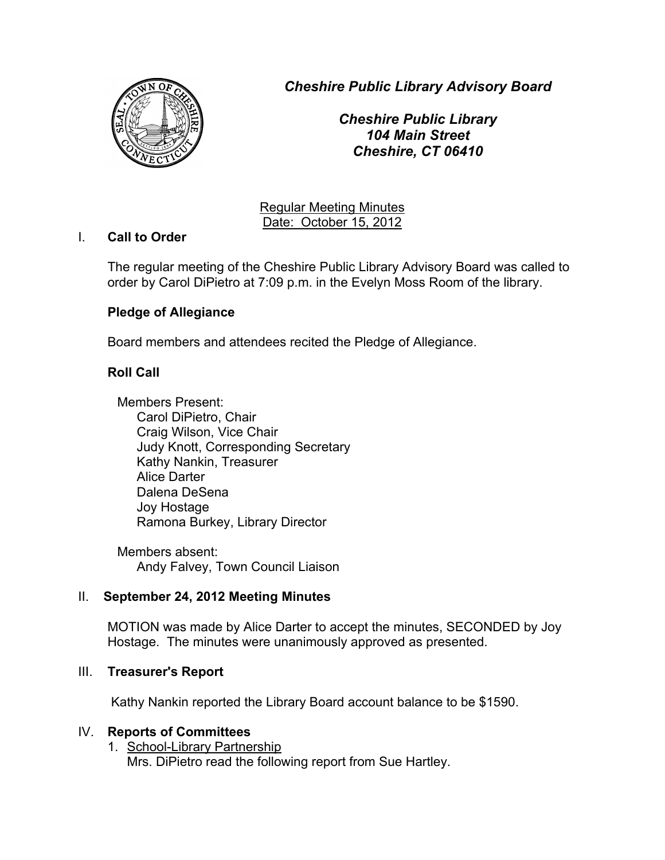*Cheshire Public Library Advisory Board*



*Cheshire Public Library 104 Main Street Cheshire, CT 06410*

Regular Meeting Minutes Date: October 15, 2012

## I. **Call to Order**

The regular meeting of the Cheshire Public Library Advisory Board was called to order by Carol DiPietro at 7:09 p.m. in the Evelyn Moss Room of the library.

# **Pledge of Allegiance**

Board members and attendees recited the Pledge of Allegiance.

# **Roll Call**

Members Present: Carol DiPietro, Chair Craig Wilson, Vice Chair Judy Knott, Corresponding Secretary Kathy Nankin, Treasurer Alice Darter Dalena DeSena Joy Hostage Ramona Burkey, Library Director

Members absent: Andy Falvey, Town Council Liaison

# II. **September 24, 2012 Meeting Minutes**

MOTION was made by Alice Darter to accept the minutes, SECONDED by Joy Hostage. The minutes were unanimously approved as presented.

### III. **Treasurer's Report**

Kathy Nankin reported the Library Board account balance to be \$1590.

# IV. **Reports of Committees**

1. School-Library Partnership Mrs. DiPietro read the following report from Sue Hartley.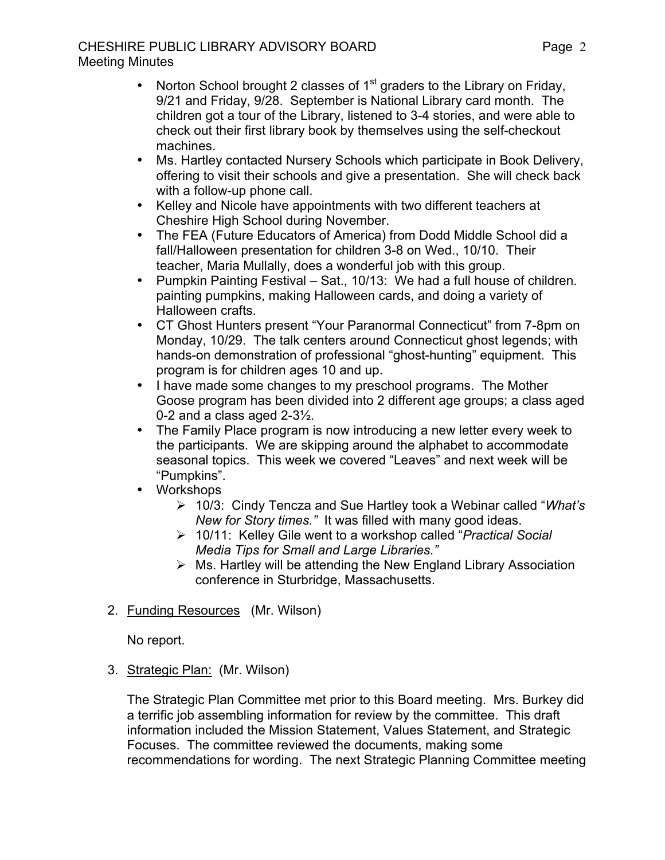## CHESHIRE PUBLIC LIBRARY ADVISORY BOARD Meeting Minutes

- Norton School brought 2 classes of  $1<sup>st</sup>$  graders to the Library on Friday, 9/21 and Friday, 9/28. September is National Library card month. The children got a tour of the Library, listened to 3-4 stories, and were able to check out their first library book by themselves using the self-checkout machines.
- Ms. Hartley contacted Nursery Schools which participate in Book Delivery, offering to visit their schools and give a presentation. She will check back with a follow-up phone call.
- Kelley and Nicole have appointments with two different teachers at Cheshire High School during November.
- The FEA (Future Educators of America) from Dodd Middle School did a fall/Halloween presentation for children 3-8 on Wed., 10/10. Their teacher, Maria Mullally, does a wonderful job with this group.
- Pumpkin Painting Festival Sat., 10/13: We had a full house of children. painting pumpkins, making Halloween cards, and doing a variety of Halloween crafts.
- CT Ghost Hunters present "Your Paranormal Connecticut" from 7-8pm on Monday, 10/29. The talk centers around Connecticut ghost legends; with hands-on demonstration of professional "ghost-hunting" equipment. This program is for children ages 10 and up.
- I have made some changes to my preschool programs. The Mother Goose program has been divided into 2 different age groups; a class aged 0-2 and a class aged 2-3½.
- The Family Place program is now introducing a new letter every week to the participants. We are skipping around the alphabet to accommodate seasonal topics. This week we covered "Leaves" and next week will be "Pumpkins".
- Workshops
	- 10/3: Cindy Tencza and Sue Hartley took a Webinar called "*What's New for Story times."* It was filled with many good ideas.
	- 10/11: Kelley Gile went to a workshop called "*Practical Social Media Tips for Small and Large Libraries."*
	- $\triangleright$  Ms. Hartley will be attending the New England Library Association conference in Sturbridge, Massachusetts.
- 2. Funding Resources (Mr. Wilson)

No report.

3. Strategic Plan: (Mr. Wilson)

The Strategic Plan Committee met prior to this Board meeting. Mrs. Burkey did a terrific job assembling information for review by the committee. This draft information included the Mission Statement, Values Statement, and Strategic Focuses. The committee reviewed the documents, making some recommendations for wording. The next Strategic Planning Committee meeting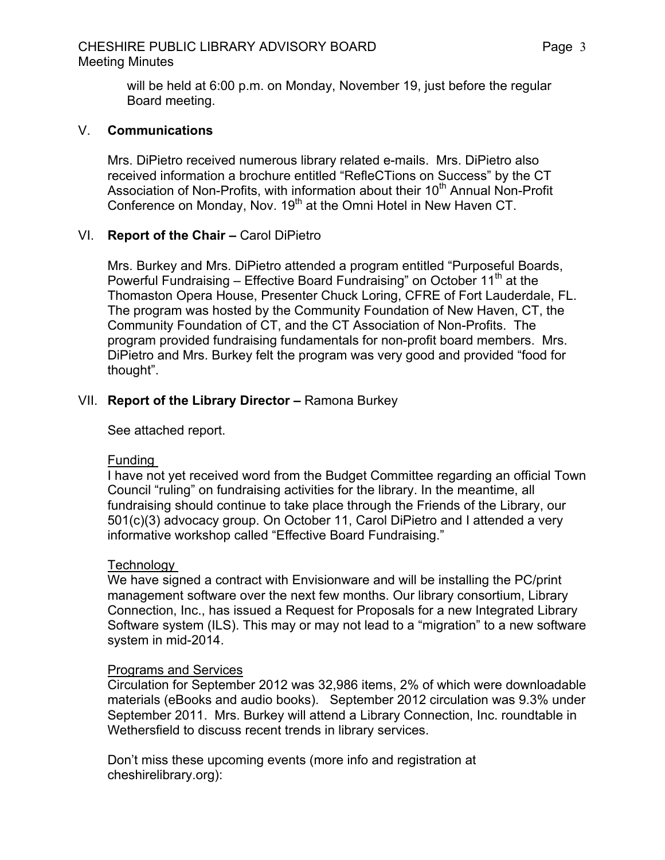### CHESHIRE PUBLIC LIBRARY ADVISORY BOARD Meeting Minutes

will be held at 6:00 p.m. on Monday, November 19, just before the regular Board meeting.

### V. **Communications**

Mrs. DiPietro received numerous library related e-mails. Mrs. DiPietro also received information a brochure entitled "RefleCTions on Success" by the CT Association of Non-Profits, with information about their 10<sup>th</sup> Annual Non-Profit Conference on Monday, Nov. 19<sup>th</sup> at the Omni Hotel in New Haven CT.

### VI. **Report of the Chair –** Carol DiPietro

Mrs. Burkey and Mrs. DiPietro attended a program entitled "Purposeful Boards, Powerful Fundraising – Effective Board Fundraising" on October  $11<sup>th</sup>$  at the Thomaston Opera House, Presenter Chuck Loring, CFRE of Fort Lauderdale, FL. The program was hosted by the Community Foundation of New Haven, CT, the Community Foundation of CT, and the CT Association of Non-Profits. The program provided fundraising fundamentals for non-profit board members. Mrs. DiPietro and Mrs. Burkey felt the program was very good and provided "food for thought".

### VII. **Report of the Library Director –** Ramona Burkey

See attached report.

#### Funding

I have not yet received word from the Budget Committee regarding an official Town Council "ruling" on fundraising activities for the library. In the meantime, all fundraising should continue to take place through the Friends of the Library, our 501(c)(3) advocacy group. On October 11, Carol DiPietro and I attended a very informative workshop called "Effective Board Fundraising."

#### **Technology**

We have signed a contract with Envisionware and will be installing the PC/print management software over the next few months. Our library consortium, Library Connection, Inc., has issued a Request for Proposals for a new Integrated Library Software system (ILS). This may or may not lead to a "migration" to a new software system in mid-2014.

#### Programs and Services

Circulation for September 2012 was 32,986 items, 2% of which were downloadable materials (eBooks and audio books). September 2012 circulation was 9.3% under September 2011. Mrs. Burkey will attend a Library Connection, Inc. roundtable in Wethersfield to discuss recent trends in library services.

Don't miss these upcoming events (more info and registration at cheshirelibrary.org):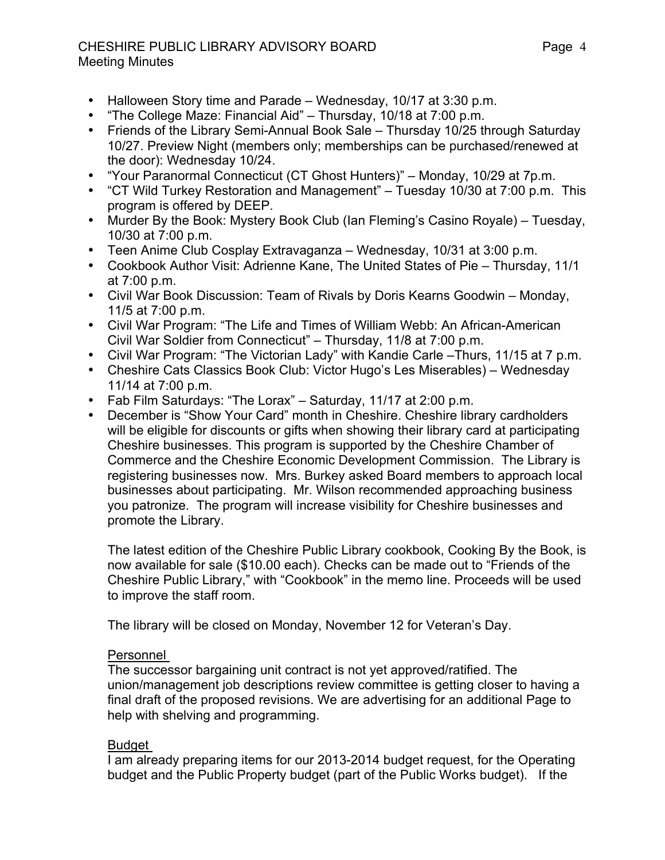### CHESHIRE PUBLIC LIBRARY ADVISORY BOARD Meeting Minutes

- Halloween Story time and Parade Wednesday, 10/17 at 3:30 p.m.
- "The College Maze: Financial Aid" Thursday, 10/18 at 7:00 p.m.
- Friends of the Library Semi-Annual Book Sale Thursday 10/25 through Saturday 10/27. Preview Night (members only; memberships can be purchased/renewed at the door): Wednesday 10/24.
- "Your Paranormal Connecticut (CT Ghost Hunters)" Monday, 10/29 at 7p.m.<br>• "CT Wild Turkey Restoration and Management" Tuesday 10/30 at 7:00 p.m.
- "CT Wild Turkey Restoration and Management" Tuesday 10/30 at 7:00 p.m. This program is offered by DEEP.
- Murder By the Book: Mystery Book Club (Ian Fleming's Casino Royale) Tuesday, 10/30 at 7:00 p.m.
- Teen Anime Club Cosplay Extravaganza Wednesday, 10/31 at 3:00 p.m.
- Cookbook Author Visit: Adrienne Kane, The United States of Pie Thursday, 11/1 at 7:00 p.m.
- Civil War Book Discussion: Team of Rivals by Doris Kearns Goodwin Monday, 11/5 at 7:00 p.m.
- Civil War Program: "The Life and Times of William Webb: An African-American Civil War Soldier from Connecticut" – Thursday, 11/8 at 7:00 p.m.
- Civil War Program: "The Victorian Lady" with Kandie Carle –Thurs, 11/15 at 7 p.m.
- Cheshire Cats Classics Book Club: Victor Hugo's Les Miserables) Wednesday 11/14 at 7:00 p.m.
- Fab Film Saturdays: "The Lorax" Saturday, 11/17 at 2:00 p.m.
- December is "Show Your Card" month in Cheshire. Cheshire library cardholders will be eligible for discounts or gifts when showing their library card at participating Cheshire businesses. This program is supported by the Cheshire Chamber of Commerce and the Cheshire Economic Development Commission. The Library is registering businesses now. Mrs. Burkey asked Board members to approach local businesses about participating. Mr. Wilson recommended approaching business you patronize. The program will increase visibility for Cheshire businesses and promote the Library.

The latest edition of the Cheshire Public Library cookbook, Cooking By the Book, is now available for sale (\$10.00 each). Checks can be made out to "Friends of the Cheshire Public Library," with "Cookbook" in the memo line. Proceeds will be used to improve the staff room.

The library will be closed on Monday, November 12 for Veteran's Day.

### Personnel

The successor bargaining unit contract is not yet approved/ratified. The union/management job descriptions review committee is getting closer to having a final draft of the proposed revisions. We are advertising for an additional Page to help with shelving and programming.

# Budget

I am already preparing items for our 2013-2014 budget request, for the Operating budget and the Public Property budget (part of the Public Works budget). If the